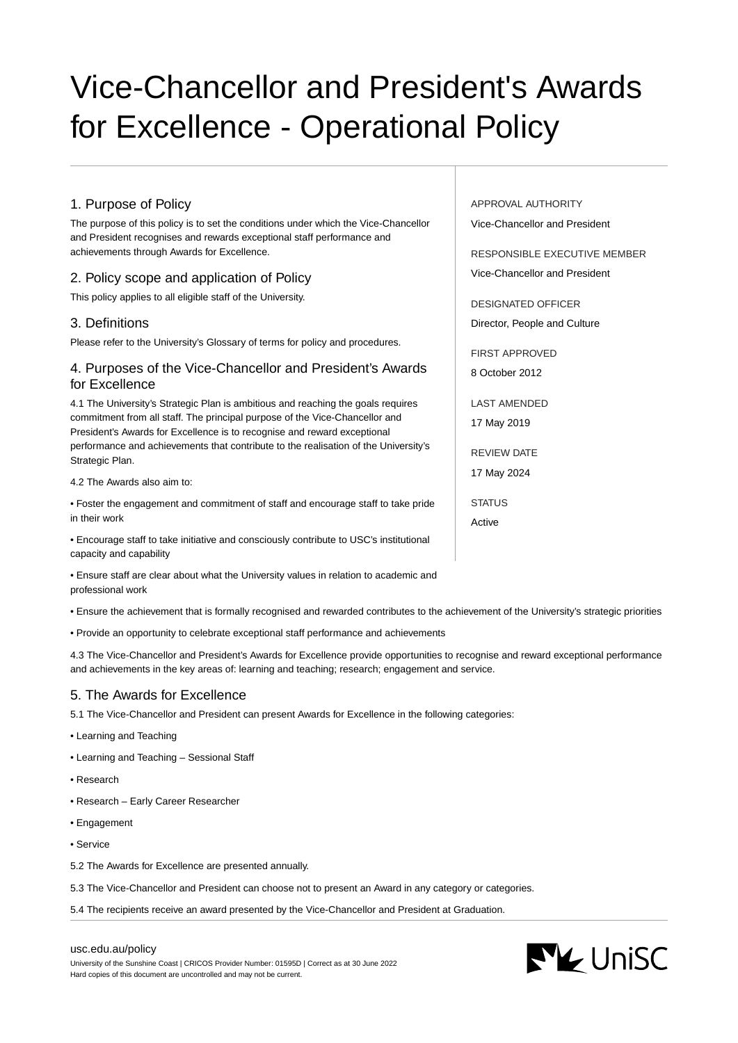# Vice-Chancellor and President's Awards for Excellence - Operational Policy

## 1. Purpose of Policy

The purpose of this policy is to set the conditions under which the Vice-Chancellor and President recognises and rewards exceptional staff performance and achievements through Awards for Excellence.

## 2. Policy scope and application of Policy

This policy applies to all eligible staff of the University.

#### 3. Definitions

Please refer to the University's Glossary of terms for policy and procedures.

## 4. Purposes of the Vice-Chancellor and President's Awards for Excellence

4.1 The University's Strategic Plan is ambitious and reaching the goals requires commitment from all staff. The principal purpose of the Vice-Chancellor and President's Awards for Excellence is to recognise and reward exceptional performance and achievements that contribute to the realisation of the University's Strategic Plan.

4.2 The Awards also aim to:

• Foster the engagement and commitment of staff and encourage staff to take pride in their work

• Encourage staff to take initiative and consciously contribute to USC's institutional capacity and capability

• Ensure staff are clear about what the University values in relation to academic and professional work

• Ensure the achievement that is formally recognised and rewarded contributes to the achievement of the University's strategic priorities

• Provide an opportunity to celebrate exceptional staff performance and achievements

4.3 The Vice-Chancellor and President's Awards for Excellence provide opportunities to recognise and reward exceptional performance and achievements in the key areas of: learning and teaching; research; engagement and service.

## 5. The Awards for Excellence

5.1 The Vice-Chancellor and President can present Awards for Excellence in the following categories:

- Learning and Teaching
- Learning and Teaching Sessional Staff
- Research
- Research Early Career Researcher
- Engagement
- Service
- 5.2 The Awards for Excellence are presented annually.
- 5.3 The Vice-Chancellor and President can choose not to present an Award in any category or categories.
- 5.4 The recipients receive an award presented by the Vice-Chancellor and President at Graduation.



APPROVAL AUTHORITY

RESPONSIBLE EXECUTIVE MEMBER Vice-Chancellor and President

DESIGNATED OFFICER Director, People and Culture

FIRST APPROVED 8 October 2012

LAST AMENDED 17 May 2019

REVIEW DATE 17 May 2024

STATUS

Active





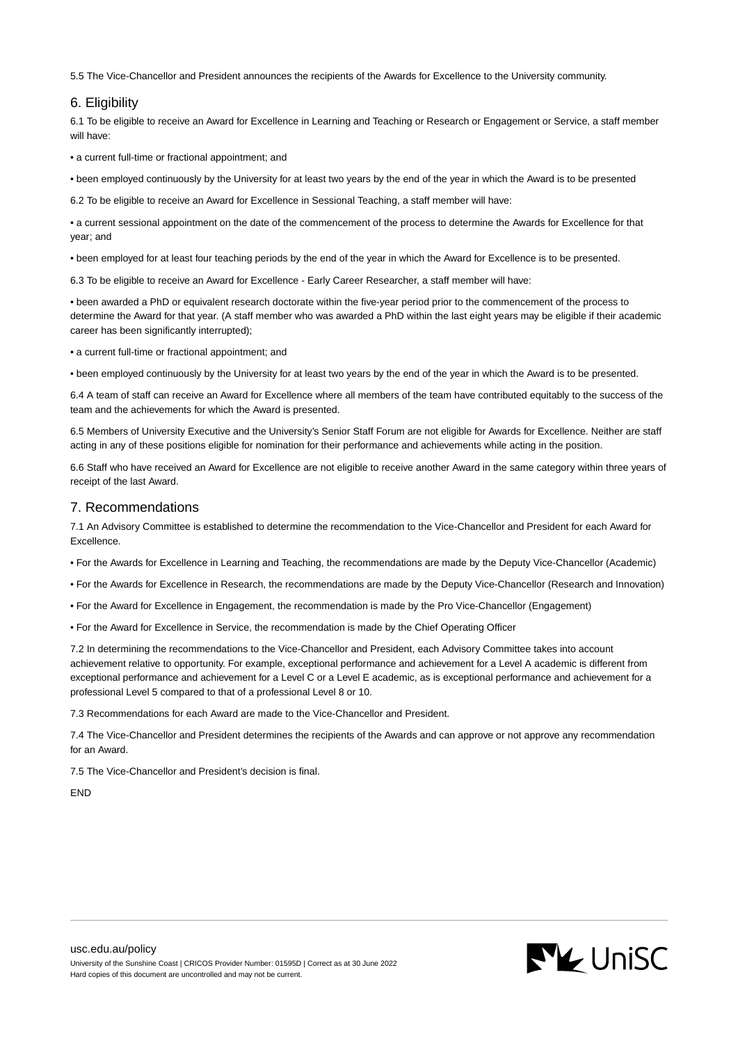5.5 The Vice-Chancellor and President announces the recipients of the Awards for Excellence to the University community.

## 6. Eligibility

6.1 To be eligible to receive an Award for Excellence in Learning and Teaching or Research or Engagement or Service, a staff member will have:

• a current full-time or fractional appointment; and

• been employed continuously by the University for at least two years by the end of the year in which the Award is to be presented

6.2 To be eligible to receive an Award for Excellence in Sessional Teaching, a staff member will have:

• a current sessional appointment on the date of the commencement of the process to determine the Awards for Excellence for that year; and

• been employed for at least four teaching periods by the end of the year in which the Award for Excellence is to be presented.

6.3 To be eligible to receive an Award for Excellence - Early Career Researcher, a staff member will have:

• been awarded a PhD or equivalent research doctorate within the five-year period prior to the commencement of the process to determine the Award for that year. (A staff member who was awarded a PhD within the last eight years may be eligible if their academic career has been significantly interrupted);

• a current full-time or fractional appointment; and

• been employed continuously by the University for at least two years by the end of the year in which the Award is to be presented.

6.4 A team of staff can receive an Award for Excellence where all members of the team have contributed equitably to the success of the team and the achievements for which the Award is presented.

6.5 Members of University Executive and the University's Senior Staff Forum are not eligible for Awards for Excellence. Neither are staff acting in any of these positions eligible for nomination for their performance and achievements while acting in the position.

6.6 Staff who have received an Award for Excellence are not eligible to receive another Award in the same category within three years of receipt of the last Award.

#### 7. Recommendations

7.1 An Advisory Committee is established to determine the recommendation to the Vice-Chancellor and President for each Award for Excellence.

• For the Awards for Excellence in Learning and Teaching, the recommendations are made by the Deputy Vice-Chancellor (Academic)

- For the Awards for Excellence in Research, the recommendations are made by the Deputy Vice-Chancellor (Research and Innovation)
- For the Award for Excellence in Engagement, the recommendation is made by the Pro Vice-Chancellor (Engagement)
- For the Award for Excellence in Service, the recommendation is made by the Chief Operating Officer

7.2 In determining the recommendations to the Vice-Chancellor and President, each Advisory Committee takes into account achievement relative to opportunity. For example, exceptional performance and achievement for a Level A academic is different from exceptional performance and achievement for a Level C or a Level E academic, as is exceptional performance and achievement for a professional Level 5 compared to that of a professional Level 8 or 10.

7.3 Recommendations for each Award are made to the Vice-Chancellor and President.

7.4 The Vice-Chancellor and President determines the recipients of the Awards and can approve or not approve any recommendation for an Award.

7.5 The Vice-Chancellor and President's decision is final.

**FND**